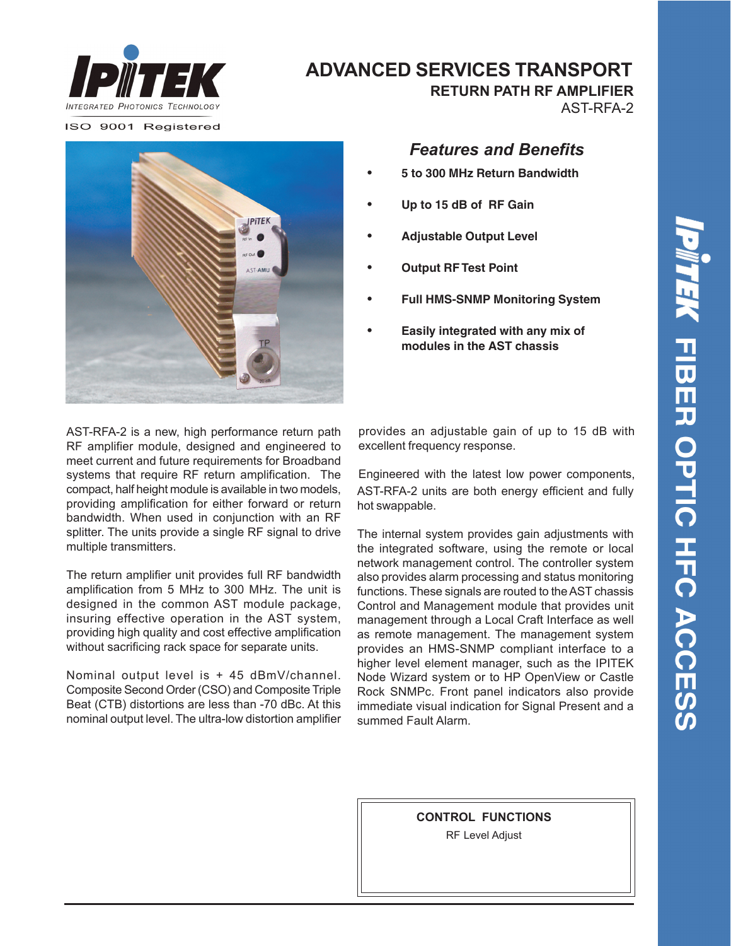

## **ADVANCED SERVICES TRANSPORT**

ISO 9001 Registered



### *Features and Benefits*

 **RETURN PATH RF AMPLIFIER**

AST-RFA-2

- **• 5 to 300 MHz Return Bandwidth**
- **• Up to 15 dB of RF Gain**
- **• Adjustable Output Level**
- **• Output RF Test Point**
- **• Full HMS-SNMP Monitoring System**
- **• Easily integrated with any mix of modules in the AST chassis**

AST-RFA-2 is a new, high performance return path RF amplifier module, designed and engineered to meet current and future requirements for Broadband systems that require RF return amplification. The compact, half height module is available in two models, providing amplification for either forward or return bandwidth. When used in conjunction with an RF splitter. The units provide a single RF signal to drive multiple transmitters.

The return amplifier unit provides full RF bandwidth amplification from 5 MHz to 300 MHz. The unit is designed in the common AST module package, insuring effective operation in the AST system, providing high quality and cost effective amplification without sacrificing rack space for separate units.

Nominal output level is + 45 dBmV/channel. Composite Second Order (CSO) and Composite Triple Beat (CTB) distortions are less than -70 dBc. At this nominal output level. The ultra-low distortion amplifier provides an adjustable gain of up to 15 dB with excellent frequency response.

AST-RFA-2 units are both energy efficient and fully hot swappable. Engineered with the latest low power components,

The internal system provides gain adjustments with the integrated software, using the remote or local network management control. The controller system also provides alarm processing and status monitoring functions. These signals are routed to the AST chassis Control and Management module that provides unit management through a Local Craft Interface as well as remote management. The management system provides an HMS-SNMP compliant interface to a higher level element manager, such as the IPITEK Node Wizard system or to HP OpenView or Castle Rock SNMPc. Front panel indicators also provide immediate visual indication for Signal Present and a summed Fault Alarm.

> **CONTROL FUNCTIONS** RF Level Adjust